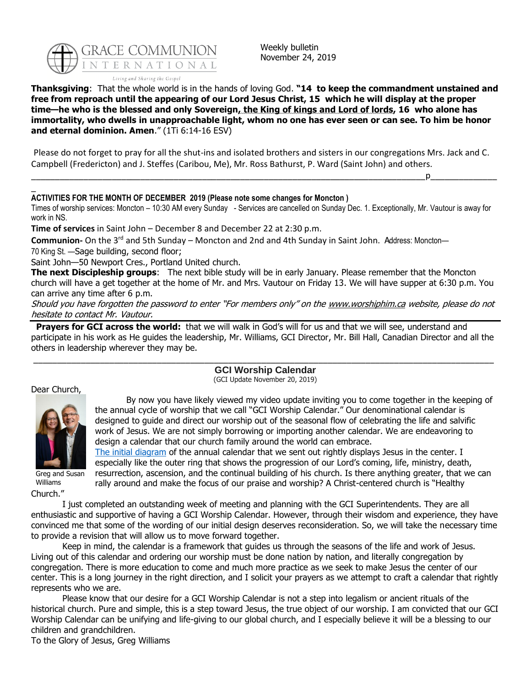

Weekly bulletin November 24, 2019

**Thanksgiving**: That the whole world is in the hands of loving God. **"14 to keep the commandment unstained and free from reproach until the appearing of our Lord Jesus Christ, 15 which he will display at the proper time—he who is the blessed and only Sovereign, the King of kings and Lord of lords, 16 who alone has immortality, who dwells in unapproachable light, whom no one has ever seen or can see. To him be honor and eternal dominion. Amen**." (1Ti 6:14-16 ESV)

Please do not forget to pray for all the shut-ins and isolated brothers and sisters in our congregations Mrs. Jack and C. Campbell (Fredericton) and J. Steffes (Caribou, Me), Mr. Ross Bathurst, P. Ward (Saint John) and others.

\_\_\_\_\_\_\_\_\_\_\_\_\_\_\_\_\_\_\_\_\_\_\_\_\_\_\_\_\_\_\_\_\_\_\_\_\_\_\_\_\_\_\_\_\_\_\_\_\_\_\_\_\_\_\_\_\_\_\_\_\_\_\_\_\_\_\_\_\_\_\_\_\_\_\_\_\_\_\_\_\_\_\_p\_\_\_\_\_\_\_\_\_\_\_\_\_\_

#### \_ **ACTIVITIES FOR THE MONTH OF DECEMBER 2019 (Please note some changes for Moncton )**

Times of worship services: Moncton – 10:30 AM every Sunday - Services are cancelled on Sunday Dec. 1. Exceptionally, Mr. Vautour is away for work in NS.

**Time of services** in Saint John – December 8 and December 22 at 2:30 p.m.

**Communion-** On the 3rd and 5th Sunday – Moncton and 2nd and 4th Sunday in Saint John. Address: Moncton— 70 King St. —Sage building, second floor;

Saint John—50 Newport Cres., Portland United church.

**The next Discipleship groups**: The next bible study will be in early January. Please remember that the Moncton church will have a get together at the home of Mr. and Mrs. Vautour on Friday 13. We will have supper at 6:30 p.m. You can arrive any time after 6 p.m.

Should you have forgotten the password to enter "For members only" on the [www.worshiphim.ca](http://www.worshiphim.ca/) website, please do not hesitate to contact Mr. Vautour.

**Prayers for GCI across the world:** that we will walk in God's will for us and that we will see, understand and participate in his work as He guides the leadership, Mr. Williams, GCI Director, Mr. Bill Hall, Canadian Director and all the others in leadership wherever they may be.

# \_\_\_\_\_\_\_\_\_\_\_\_\_\_\_\_\_\_\_\_\_\_\_\_\_\_\_\_\_\_\_\_\_\_\_\_\_\_\_\_\_\_\_\_\_\_\_\_\_\_\_\_\_\_\_\_\_\_\_\_\_\_\_\_\_\_\_\_\_\_\_\_\_\_\_\_\_\_\_\_\_\_\_\_\_\_\_\_\_\_\_\_\_\_\_\_\_ **GCI Worship Calendar**

(GCI Update November 20, 2019)

#### Dear Church,



Greg and Susan Williams

Church."

By now you have likely viewed my video update inviting you to come together in the keeping of the annual cycle of worship that we call "GCI Worship Calendar." Our denominational calendar is designed to guide and direct our worship out of the seasonal flow of celebrating the life and salvific work of Jesus. We are not simply borrowing or importing another calendar. We are endeavoring to design a calendar that our church family around the world can embrace.

[The initial diagram](https://resources.gci.org/wp-content/uploads/2019/11/Worship-Calendar-Full-Final-with-article.pdf) of the annual calendar that we sent out rightly displays Jesus in the center. I especially like the outer ring that shows the progression of our Lord's coming, life, ministry, death, resurrection, ascension, and the continual building of his church. Is there anything greater, that we can rally around and make the focus of our praise and worship? A Christ-centered church is "Healthy

I just completed an outstanding week of meeting and planning with the GCI Superintendents. They are all enthusiastic and supportive of having a GCI Worship Calendar. However, through their wisdom and experience, they have convinced me that some of the wording of our initial design deserves reconsideration. So, we will take the necessary time to provide a revision that will allow us to move forward together.

Keep in mind, the calendar is a framework that guides us through the seasons of the life and work of Jesus. Living out of this calendar and ordering our worship must be done nation by nation, and literally congregation by congregation. There is more education to come and much more practice as we seek to make Jesus the center of our center. This is a long journey in the right direction, and I solicit your prayers as we attempt to craft a calendar that rightly represents who we are.

Please know that our desire for a GCI Worship Calendar is not a step into legalism or ancient rituals of the historical church. Pure and simple, this is a step toward Jesus, the true object of our worship. I am convicted that our GCI Worship Calendar can be unifying and life-giving to our global church, and I especially believe it will be a blessing to our children and grandchildren.

To the Glory of Jesus, Greg Williams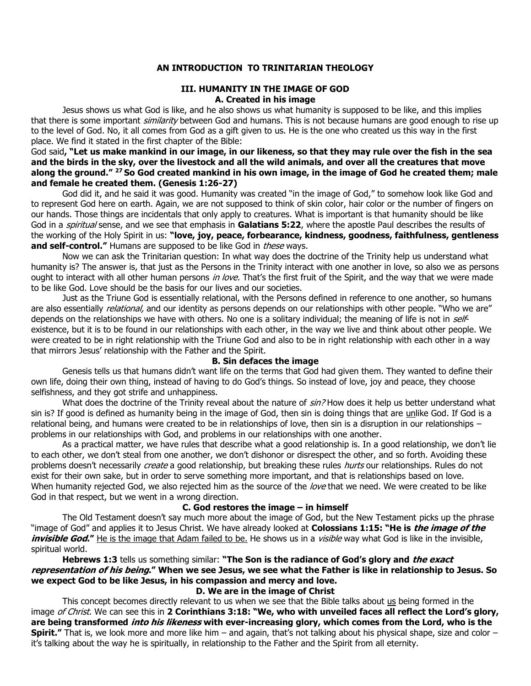### **AN INTRODUCTION TO TRINITARIAN THEOLOGY**

#### **III. HUMANITY IN THE IMAGE OF GOD A. Created in his image**

Jesus shows us what God is like, and he also shows us what humanity is supposed to be like, and this implies that there is some important *similarity* between God and humans. This is not because humans are good enough to rise up to the level of God. No, it all comes from God as a gift given to us. He is the one who created us this way in the first place. We find it stated in the first chapter of the Bible:

### God said**, "Let us make mankind in our image, in our likeness, so that they may rule over the fish in the sea and the birds in the sky, over the livestock and all the wild animals, and over all the creatures that move along the ground." <sup>27</sup>So God created mankind in his own image, in the image of God he created them; male and female he created them. [\(Genesis 1:26-27\)](https://biblia.com/bible/niv/Gen%201.26-27)**

God did it, and he said it was good. Humanity was created "in the image of God," to somehow look like God and to represent God here on earth. Again, we are not supposed to think of skin color, hair color or the number of fingers on our hands. Those things are incidentals that only apply to creatures. What is important is that humanity should be like God in a spiritual sense, and we see that emphasis in **[Galatians 5:22](https://biblia.com/bible/niv/Gal%205.22)**, where the apostle Paul describes the results of the working of the Holy Spirit in us: **"love, joy, peace, forbearance, kindness, goodness, faithfulness, gentleness and self-control."** Humans are supposed to be like God in *these* ways.

Now we can ask the Trinitarian question: In what way does the doctrine of the Trinity help us understand what humanity is? The answer is, that just as the Persons in the Trinity interact with one another in love, so also we as persons ought to interact with all other human persons in love. That's the first fruit of the Spirit, and the way that we were made to be like God. Love should be the basis for our lives and our societies.

Just as the Triune God is essentially relational, with the Persons defined in reference to one another, so humans are also essentially *relational*, and our identity as persons depends on our relationships with other people. "Who we are" depends on the relationships we have with others. No one is a solitary individual; the meaning of life is not in selfexistence, but it is to be found in our relationships with each other, in the way we live and think about other people. We were created to be in right relationship with the Triune God and also to be in right relationship with each other in a way that mirrors Jesus' relationship with the Father and the Spirit.

#### **B. Sin defaces the image**

Genesis tells us that humans didn't want life on the terms that God had given them. They wanted to define their own life, doing their own thing, instead of having to do God's things. So instead of love, joy and peace, they choose selfishness, and they got strife and unhappiness.

What does the doctrine of the Trinity reveal about the nature of sin? How does it help us better understand what sin is? If good is defined as humanity being in the image of God, then sin is doing things that are unlike God. If God is a relational being, and humans were created to be in relationships of love, then sin is a disruption in our relationships – problems in our relationships with God, and problems in our relationships with one another.

As a practical matter, we have rules that describe what a good relationship is. In a good relationship, we don't lie to each other, we don't steal from one another, we don't dishonor or disrespect the other, and so forth. Avoiding these problems doesn't necessarily *create* a good relationship, but breaking these rules *hurts* our relationships. Rules do not exist for their own sake, but in order to serve something more important, and that is relationships based on love. When humanity rejected God, we also rejected him as the source of the love that we need. We were created to be like God in that respect, but we went in a wrong direction.

#### **C. God restores the image – in himself**

The Old Testament doesn't say much more about the image of God, but the New Testament picks up the phrase "image of God" and applies it to Jesus Christ. We have already looked at **[Colossians 1:15](https://biblia.com/bible/niv/Col%201.15): "He is the image of the invisible God."** He is the image that Adam failed to be. He shows us in a *visible* way what God is like in the invisible, spiritual world.

**[Hebrews 1:3](https://biblia.com/bible/niv/Heb%201.3)** tells us something similar: **"The Son is the radiance of God's glory and the exact representation of his being." When we see Jesus, we see what the Father is like in relationship to Jesus. So we expect God to be like Jesus, in his compassion and mercy and love.**

### **D. We are in the image of Christ**

This concept becomes directly relevant to us when we see that the Bible talks about us being formed in the image of Christ. We can see this in **[2 Corinthians 3:18](https://biblia.com/bible/niv/2%20Cor%203.18): "We, who with unveiled faces all reflect the Lord's glory, are being transformed into his likeness with ever-increasing glory, which comes from the Lord, who is the Spirit."** That is, we look more and more like him – and again, that's not talking about his physical shape, size and color – it's talking about the way he is spiritually, in relationship to the Father and the Spirit from all eternity.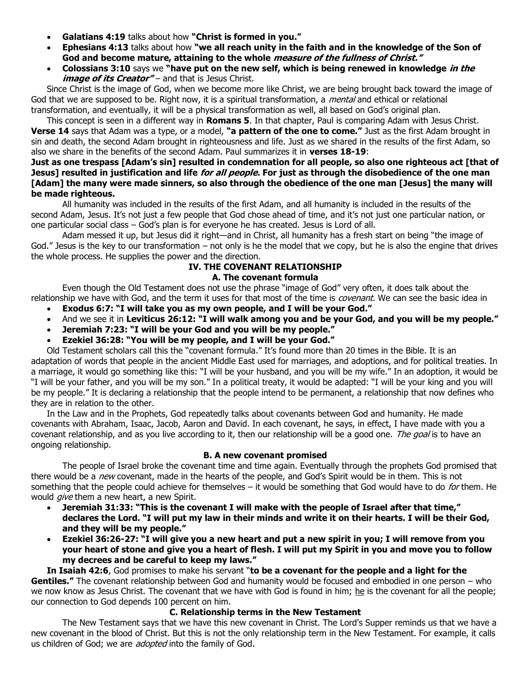- **[Galatians 4:19](https://biblia.com/bible/niv/Gal%204.19)** talks about how **"Christ is formed in you."**
- **[Ephesians 4:13](https://biblia.com/bible/niv/Eph%204.13)** talks about how **"we all reach unity in the faith and in the knowledge of the Son of God and become mature, attaining to the whole measure of the fullness of Christ."**
- **[Colossians 3:10](https://biblia.com/bible/niv/Col%203.10)** says we **"have put on the new self, which is being renewed in knowledge in the image of its Creator"** – and that is Jesus Christ.

Since Christ is the image of God, when we become more like Christ, we are being brought back toward the image of God that we are supposed to be. Right now, it is a spiritual transformation, a *mental* and ethical or relational transformation, and eventually, it will be a physical transformation as well, all based on God's original plan.

This concept is seen in a different way in **Romans 5**. In that chapter, Paul is comparing Adam with Jesus Christ. **Verse 14** says that Adam was a type, or a model, **"a pattern of the one to come."** Just as the first Adam brought in sin and death, the second Adam brought in righteousness and life. Just as we shared in the results of the first Adam, so also we share in the benefits of the second Adam. Paul summarizes it in **verses 18-19**:

# **Just as one trespass [Adam's sin] resulted in condemnation for all people, so also one righteous act [that of Jesus] resulted in justification and life for all people. For just as through the disobedience of the one man [Adam] the many were made sinners, so also through the obedience of the one man [Jesus] the many will be made righteous.**

All humanity was included in the results of the first Adam, and all humanity is included in the results of the second Adam, Jesus. It's not just a few people that God chose ahead of time, and it's not just one particular nation, or one particular social class – God's plan is for everyone he has created. Jesus is Lord of all.

Adam messed it up, but Jesus did it right—and in Christ, all humanity has a fresh start on being "the image of God." Jesus is the key to our transformation  $-$  not only is he the model that we copy, but he is also the engine that drives the whole process. He supplies the power and the direction.

# **IV. THE COVENANT RELATIONSHIP**

# **A. The covenant formula**

Even though the Old Testament does not use the phrase "image of God" very often, it does talk about the relationship we have with God, and the term it uses for that most of the time is *covenant*. We can see the basic idea in

- **[Exodus 6:7](https://biblia.com/bible/niv/Exod%206.7): "I will take you as my own people, and I will be your God."**
- And we see it in **[Leviticus 26:12](https://biblia.com/bible/niv/Lev%2026.12): "I will walk among you and be your God, and you will be my people."**
- **[Jeremiah 7:23](https://biblia.com/bible/niv/Jer%207.23): "I will be your God and you will be my people."**

our connection to God depends 100 percent on him.

• **[Ezekiel 36:28](https://biblia.com/bible/niv/Ezek%2036.28): "You will be my people, and I will be your God."**

Old Testament scholars call this the "covenant formula." It's found more than 20 times in the Bible. It is an adaptation of words that people in the ancient Middle East used for marriages, and adoptions, and for political treaties. In a marriage, it would go something like this: "I will be your husband, and you will be my wife." In an adoption, it would be "I will be your father, and you will be my son." In a political treaty, it would be adapted: "I will be your king and you will be my people." It is declaring a relationship that the people intend to be permanent, a relationship that now defines who they are in relation to the other.

In the Law and in the Prophets, God repeatedly talks about covenants between God and humanity. He made covenants with Abraham, Isaac, Jacob, Aaron and David. In each covenant, he says, in effect, I have made with you a covenant relationship, and as you live according to it, then our relationship will be a good one. The goal is to have an ongoing relationship.

# **B. A new covenant promised**

The people of Israel broke the covenant time and time again. Eventually through the prophets God promised that there would be a new covenant, made in the hearts of the people, and God's Spirit would be in them. This is not something that the people could achieve for themselves  $-$  it would be something that God would have to do *for* them. He would *give* them a new heart, a new Spirit.

- **[Jeremiah 31:33](https://biblia.com/bible/niv/Jer%2031.33): "This is the covenant I will make with the people of Israel after that time," declares the Lord. "I will put my law in their minds and write it on their hearts. I will be their God, and they will be my people."**
- **[Ezekiel 36:26-27](https://biblia.com/bible/niv/Ezek%2036.26-27): "I will give you a new heart and put a new spirit in you; I will remove from you your heart of stone and give you a heart of flesh. I will put my Spirit in you and move you to follow my decrees and be careful to keep my laws."**

**In [Isaiah 42:6](https://biblia.com/bible/niv/Isa%2042.6)**, God promises to make his servant "**to be a covenant for the people and a light for the Gentiles."** The covenant relationship between God and humanity would be focused and embodied in one person – who we now know as Jesus Christ. The covenant that we have with God is found in him; he is the covenant for all the people;

# **C. Relationship terms in the New Testament**

The New Testament says that we have this new covenant in Christ. The Lord's Supper reminds us that we have a new covenant in the blood of Christ. But this is not the only relationship term in the New Testament. For example, it calls us children of God; we are *adopted* into the family of God.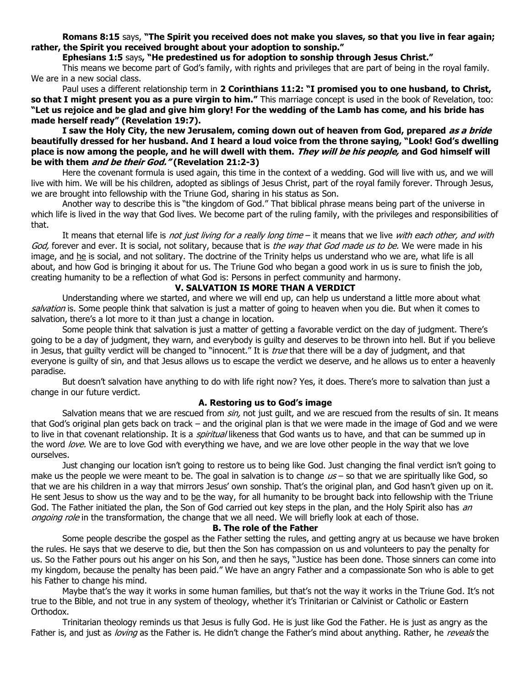**[Romans 8:15](https://biblia.com/bible/niv/Rom%208.15)** says, **"The Spirit you received does not make you slaves, so that you live in fear again; rather, the Spirit you received brought about your adoption to sonship."**

#### **[Ephesians 1:5](https://biblia.com/bible/niv/Eph%201.5)** says**, "He predestined us for adoption to sonship through Jesus Christ."**

This means we become part of God's family, with rights and privileges that are part of being in the royal family. We are in a new social class.

Paul uses a different relationship term in **[2 Corinthians 11:2](https://biblia.com/bible/niv/2%20Cor%2011.2): "I promised you to one husband, to Christ, so that I might present you as a pure virgin to him."** This marriage concept is used in the book of Revelation, too: **"Let us rejoice and be glad and give him glory! For the wedding of the Lamb has come, and his bride has made herself ready" ([Revelation 19:7\)](https://biblia.com/bible/niv/Rev%2019.7).**

**I saw the Holy City, the new Jerusalem, coming down out of heaven from God, prepared as a bride beautifully dressed for her husband. And I heard a loud voice from the throne saying, "Look! God's dwelling place is now among the people, and he will dwell with them. They will be his people, and God himself will be with them and be their God." [\(Revelation 21:2-3\)](https://biblia.com/bible/niv/Rev%2021.2-3)**

Here the covenant formula is used again, this time in the context of a wedding. God will live with us, and we will live with him. We will be his children, adopted as siblings of Jesus Christ, part of the royal family forever. Through Jesus, we are brought into fellowship with the Triune God, sharing in his status as Son.

Another way to describe this is "the kingdom of God." That biblical phrase means being part of the universe in which life is lived in the way that God lives. We become part of the ruling family, with the privileges and responsibilities of that.

It means that eternal life is *not just living for a really long time* – it means that we live *with each other, and with* God, forever and ever. It is social, not solitary, because that is the way that God made us to be. We were made in his image, and he is social, and not solitary. The doctrine of the Trinity helps us understand who we are, what life is all about, and how God is bringing it about for us. The Triune God who began a good work in us is sure to finish the job, creating humanity to be a reflection of what God is: Persons in perfect community and harmony.

### **V. SALVATION IS MORE THAN A VERDICT**

Understanding where we started, and where we will end up, can help us understand a little more about what salvation is. Some people think that salvation is just a matter of going to heaven when you die. But when it comes to salvation, there's a lot more to it than just a change in location.

Some people think that salvation is just a matter of getting a favorable verdict on the day of judgment. There's going to be a day of judgment, they warn, and everybody is guilty and deserves to be thrown into hell. But if you believe in Jesus, that guilty verdict will be changed to "innocent." It is *true* that there will be a day of judgment, and that everyone is guilty of sin, and that Jesus allows us to escape the verdict we deserve, and he allows us to enter a heavenly paradise.

But doesn't salvation have anything to do with life right now? Yes, it does. There's more to salvation than just a change in our future verdict.

#### **A. Restoring us to God's image**

Salvation means that we are rescued from sin, not just quilt, and we are rescued from the results of sin. It means that God's original plan gets back on track – and the original plan is that we were made in the image of God and we were to live in that covenant relationship. It is a *spiritual* likeness that God wants us to have, and that can be summed up in the word love. We are to love God with everything we have, and we are love other people in the way that we love ourselves.

Just changing our location isn't going to restore us to being like God. Just changing the final verdict isn't going to make us the people we were meant to be. The goal in salvation is to change  $us -$  so that we are spiritually like God, so that we are his children in a way that mirrors Jesus' own sonship. That's the original plan, and God hasn't given up on it. He sent Jesus to show us the way and to be the way, for all humanity to be brought back into fellowship with the Triune God. The Father initiated the plan, the Son of God carried out key steps in the plan, and the Holy Spirit also has an ongoing role in the transformation, the change that we all need. We will briefly look at each of those.

### **B. The role of the Father**

Some people describe the gospel as the Father setting the rules, and getting angry at us because we have broken the rules. He says that we deserve to die, but then the Son has compassion on us and volunteers to pay the penalty for us. So the Father pours out his anger on his Son, and then he says, "Justice has been done. Those sinners can come into my kingdom, because the penalty has been paid." We have an angry Father and a compassionate Son who is able to get his Father to change his mind.

Maybe that's the way it works in some human families, but that's not the way it works in the Triune God. It's not true to the Bible, and not true in any system of theology, whether it's Trinitarian or Calvinist or Catholic or Eastern Orthodox.

Trinitarian theology reminds us that Jesus is fully God. He is just like God the Father. He is just as angry as the Father is, and just as loving as the Father is. He didn't change the Father's mind about anything. Rather, he reveals the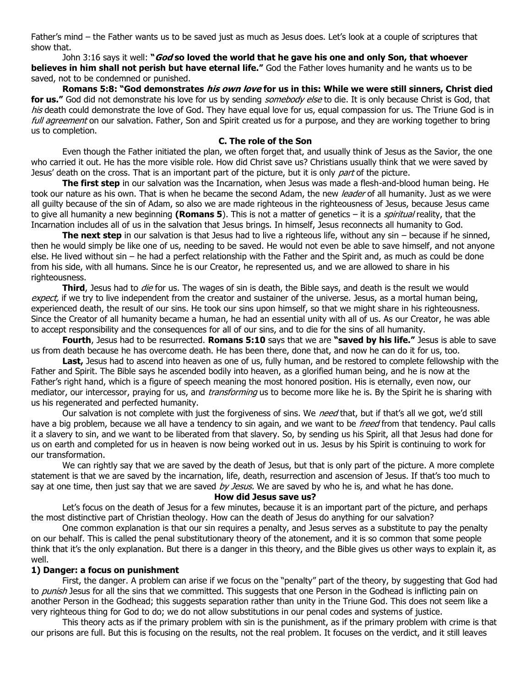Father's mind – the Father wants us to be saved just as much as Jesus does. Let's look at a couple of scriptures that show that.

[John 3:16](https://biblia.com/bible/niv/John%203.16) says it well: **"God so loved the world that he gave his one and only Son, that whoever believes in him shall not perish but have eternal life."** God the Father loves humanity and he wants us to be saved, not to be condemned or punished.

**[Romans 5:8](https://biblia.com/bible/niv/Rom%205.8): "God demonstrates his own love for us in this: While we were still sinners, Christ died**  for us." God did not demonstrate his love for us by sending *somebody else* to die. It is only because Christ is God, that his death could demonstrate the love of God. They have equal love for us, equal compassion for us. The Triune God is in full agreement on our salvation. Father, Son and Spirit created us for a purpose, and they are working together to bring us to completion.

#### **C. The role of the Son**

Even though the Father initiated the plan, we often forget that, and usually think of Jesus as the Savior, the one who carried it out. He has the more visible role. How did Christ save us? Christians usually think that we were saved by Jesus' death on the cross. That is an important part of the picture, but it is only *part* of the picture.

**The first step** in our salvation was the Incarnation, when Jesus was made a flesh-and-blood human being. He took our nature as his own. That is when he became the second Adam, the new leader of all humanity. Just as we were all guilty because of the sin of Adam, so also we are made righteous in the righteousness of Jesus, because Jesus came to give all humanity a new beginning **(Romans 5)**. This is not a matter of genetics – it is a *spiritual* reality, that the Incarnation includes all of us in the salvation that Jesus brings. In himself, Jesus reconnects all humanity to God.

**The next step** in our salvation is that Jesus had to live a righteous life, without any sin – because if he sinned, then he would simply be like one of us, needing to be saved. He would not even be able to save himself, and not anyone else. He lived without sin – he had a perfect relationship with the Father and the Spirit and, as much as could be done from his side, with all humans. Since he is our Creator, he represented us, and we are allowed to share in his righteousness.

**Third**, Jesus had to die for us. The wages of sin is death, the Bible says, and death is the result we would expect, if we try to live independent from the creator and sustainer of the universe. Jesus, as a mortal human being, experienced death, the result of our sins. He took our sins upon himself, so that we might share in his righteousness. Since the Creator of all humanity became a human, he had an essential unity with all of us. As our Creator, he was able to accept responsibility and the consequences for all of our sins, and to die for the sins of all humanity.

**Fourth**, Jesus had to be resurrected. **[Romans 5:10](https://biblia.com/bible/niv/Rom%205.10)** says that we are **"saved by his life."** Jesus is able to save us from death because he has overcome death. He has been there, done that, and now he can do it for us, too.

**Last,** Jesus had to ascend into heaven as one of us, fully human, and be restored to complete fellowship with the Father and Spirit. The Bible says he ascended bodily into heaven, as a glorified human being, and he is now at the Father's right hand, which is a figure of speech meaning the most honored position. His is eternally, even now, our mediator, our intercessor, praying for us, and *transforming* us to become more like he is. By the Spirit he is sharing with us his regenerated and perfected humanity.

Our salvation is not complete with just the forgiveness of sins. We *need* that, but if that's all we got, we'd still have a big problem, because we all have a tendency to sin again, and we want to be *freed* from that tendency. Paul calls it a slavery to sin, and we want to be liberated from that slavery. So, by sending us his Spirit, all that Jesus had done for us on earth and completed for us in heaven is now being worked out in us. Jesus by his Spirit is continuing to work for our transformation.

We can rightly say that we are saved by the death of Jesus, but that is only part of the picture. A more complete statement is that we are saved by the incarnation, life, death, resurrection and ascension of Jesus. If that's too much to say at one time, then just say that we are saved by Jesus. We are saved by who he is, and what he has done.

#### **How did Jesus save us?**

Let's focus on the death of Jesus for a few minutes, because it is an important part of the picture, and perhaps the most distinctive part of Christian theology. How can the death of Jesus do anything for our salvation?

One common explanation is that our sin requires a penalty, and Jesus serves as a substitute to pay the penalty on our behalf. This is called the penal substitutionary theory of the atonement, and it is so common that some people think that it's the only explanation. But there is a danger in this theory, and the Bible gives us other ways to explain it, as well.

#### **1) Danger: a focus on punishment**

First, the danger. A problem can arise if we focus on the "penalty" part of the theory, by suggesting that God had to *punish* Jesus for all the sins that we committed. This suggests that one Person in the Godhead is inflicting pain on another Person in the Godhead; this suggests separation rather than unity in the Triune God. This does not seem like a very righteous thing for God to do; we do not allow substitutions in our penal codes and systems of justice.

This theory acts as if the primary problem with sin is the punishment, as if the primary problem with crime is that our prisons are full. But this is focusing on the results, not the real problem. It focuses on the verdict, and it still leaves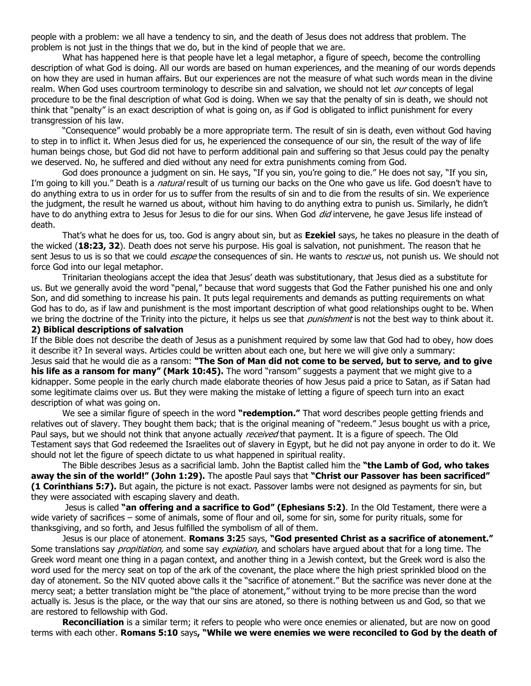people with a problem: we all have a tendency to sin, and the death of Jesus does not address that problem. The problem is not just in the things that we do, but in the kind of people that we are.

What has happened here is that people have let a legal metaphor, a figure of speech, become the controlling description of what God is doing. All our words are based on human experiences, and the meaning of our words depends on how they are used in human affairs. But our experiences are not the measure of what such words mean in the divine realm. When God uses courtroom terminology to describe sin and salvation, we should not let our concepts of legal procedure to be the final description of what God is doing. When we say that the penalty of sin is death, we should not think that "penalty" is an exact description of what is going on, as if God is obligated to inflict punishment for every transgression of his law.

"Consequence" would probably be a more appropriate term. The result of sin is death, even without God having to step in to inflict it. When Jesus died for us, he experienced the consequence of our sin, the result of the way of life human beings chose, but God did not have to perform additional pain and suffering so that Jesus could pay the penalty we deserved. No, he suffered and died without any need for extra punishments coming from God.

God does pronounce a judgment on sin. He says, "If you sin, you're going to die." He does not say, "If you sin, I'm going to kill you." Death is a *natural* result of us turning our backs on the One who gave us life. God doesn't have to do anything extra to us in order for us to suffer from the results of sin and to die from the results of sin. We experience the judgment, the result he warned us about, without him having to do anything extra to punish us. Similarly, he didn't have to do anything extra to Jesus for Jesus to die for our sins. When God *did* intervene, he gave Jesus life instead of death.

That's what he does for us, too. God is angry about sin, but as **Ezekiel** says, he takes no pleasure in the death of the wicked (**18:23, 32**). Death does not serve his purpose. His goal is salvation, not punishment. The reason that he sent Jesus to us is so that we could *escape* the consequences of sin. He wants to *rescue* us, not punish us. We should not force God into our legal metaphor.

Trinitarian theologians accept the idea that Jesus' death was substitutionary, that Jesus died as a substitute for us. But we generally avoid the word "penal," because that word suggests that God the Father punished his one and only Son, and did something to increase his pain. It puts legal requirements and demands as putting requirements on what God has to do, as if law and punishment is the most important description of what good relationships ought to be. When we bring the doctrine of the Trinity into the picture, it helps us see that *punishment* is not the best way to think about it.

# **2) Biblical descriptions of salvation**

If the Bible does not describe the death of Jesus as a punishment required by some law that God had to obey, how does it describe it? In several ways. Articles could be written about each one, but here we will give only a summary: Jesus said that he would die as a ransom: **"The Son of Man did not come to be served, but to serve, and to give** 

**his life as a ransom for many" ([Mark 10:45\)](https://biblia.com/bible/niv/Mark%2010.45).** The word "ransom" suggests a payment that we might give to a kidnapper. Some people in the early church made elaborate theories of how Jesus paid a price to Satan, as if Satan had some legitimate claims over us. But they were making the mistake of letting a figure of speech turn into an exact description of what was going on.

We see a similar figure of speech in the word **"redemption."** That word describes people getting friends and relatives out of slavery. They bought them back; that is the original meaning of "redeem." Jesus bought us with a price, Paul says, but we should not think that anyone actually *received* that payment. It is a figure of speech. The Old Testament says that God redeemed the Israelites out of slavery in Egypt, but he did not pay anyone in order to do it. We should not let the figure of speech dictate to us what happened in spiritual reality.

The Bible describes Jesus as a sacrificial lamb. John the Baptist called him the **"the Lamb of God, who takes away the sin of the world!" ([John 1:29\)](https://biblia.com/bible/niv/John%201.29).** The apostle Paul says that **"Christ our Passover has been sacrificed" [\(1 Corinthians 5:7\)](https://biblia.com/bible/niv/1%20Cor%205.7).** But again, the picture is not exact. Passover lambs were not designed as payments for sin, but they were associated with escaping slavery and death.

Jesus is called **"an offering and a sacrifice to God" ([Ephesians 5:2\)](https://biblia.com/bible/niv/Eph%205.2)**. In the Old Testament, there were a wide variety of sacrifices – some of animals, some of flour and oil, some for sin, some for purity rituals, some for thanksgiving, and so forth, and Jesus fulfilled the symbolism of all of them.

Jesus is our place of atonement. **[Romans 3:2](https://biblia.com/bible/niv/Rom%203.25)**5 says, **"God presented Christ as a sacrifice of atonement."** Some translations say *propitiation*, and some say *expiation*, and scholars have argued about that for a long time. The Greek word meant one thing in a pagan context, and another thing in a Jewish context, but the Greek word is also the word used for the mercy seat on top of the ark of the covenant, the place where the high priest sprinkled blood on the day of atonement. So the NIV quoted above calls it the "sacrifice of atonement." But the sacrifice was never done at the mercy seat; a better translation might be "the place of atonement," without trying to be more precise than the word actually is. Jesus is the place, or the way that our sins are atoned, so there is nothing between us and God, so that we are restored to fellowship with God.

**Reconciliation** is a similar term; it refers to people who were once enemies or alienated, but are now on good terms with each other. **[Romans 5:10](https://biblia.com/bible/niv/Rom%205.10)** says**, "While we were enemies we were reconciled to God by the death of**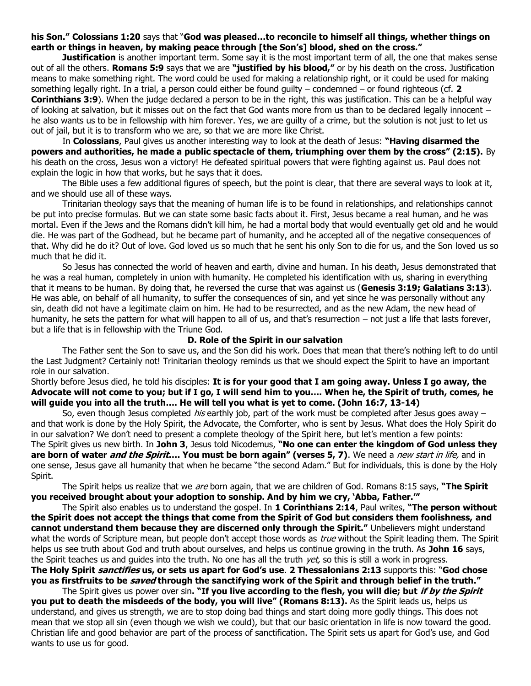### **his Son." [Colossians 1:20](https://biblia.com/bible/niv/Col%201.20)** says that "**God was pleased…to reconcile to himself all things, whether things on earth or things in heaven, by making peace through [the Son's] blood, shed on the cross."**

**Justification** is another important term. Some say it is the most important term of all, the one that makes sense out of all the others. **[Romans 5:9](https://biblia.com/bible/niv/Rom%205.9)** says that we are **"justified by his blood,"** or by his death on the cross. Justification means to make something right. The word could be used for making a relationship right, or it could be used for making something legally right. In a trial, a person could either be found guilty – condemned – or found righteous (cf. **[2](https://biblia.com/bible/niv/2%20Cor%203.9)  [Corinthians 3:9](https://biblia.com/bible/niv/2%20Cor%203.9)**). When the judge declared a person to be in the right, this was justification. This can be a helpful way of looking at salvation, but it misses out on the fact that God wants more from us than to be declared legally innocent – he also wants us to be in fellowship with him forever. Yes, we are guilty of a crime, but the solution is not just to let us out of jail, but it is to transform who we are, so that we are more like Christ.

In **Colossians**, Paul gives us another interesting way to look at the death of Jesus: **"Having disarmed the powers and authorities, he made a public spectacle of them, triumphing over them by the cross" (2:15).** By his death on the cross, Jesus won a victory! He defeated spiritual powers that were fighting against us. Paul does not explain the logic in how that works, but he says that it does.

The Bible uses a few additional figures of speech, but the point is clear, that there are several ways to look at it, and we should use all of these ways.

Trinitarian theology says that the meaning of human life is to be found in relationships, and relationships cannot be put into precise formulas. But we can state some basic facts about it. First, Jesus became a real human, and he was mortal. Even if the Jews and the Romans didn't kill him, he had a mortal body that would eventually get old and he would die. He was part of the Godhead, but he became part of humanity, and he accepted all of the negative consequences of that. Why did he do it? Out of love. God loved us so much that he sent his only Son to die for us, and the Son loved us so much that he did it.

So Jesus has connected the world of heaven and earth, divine and human. In his death, Jesus demonstrated that he was a real human, completely in union with humanity. He completed his identification with us, sharing in everything that it means to be human. By doing that, he reversed the curse that was against us (**[Genesis 3:19;](https://biblia.com/bible/niv/Gen%203.19) [Galatians 3:13](https://biblia.com/bible/niv/Gal%203.13)**). He was able, on behalf of all humanity, to suffer the consequences of sin, and yet since he was personally without any sin, death did not have a legitimate claim on him. He had to be resurrected, and as the new Adam, the new head of humanity, he sets the pattern for what will happen to all of us, and that's resurrection – not just a life that lasts forever, but a life that is in fellowship with the Triune God.

#### **D. Role of the Spirit in our salvation**

The Father sent the Son to save us, and the Son did his work. Does that mean that there's nothing left to do until the Last Judgment? Certainly not! Trinitarian theology reminds us that we should expect the Spirit to have an important role in our salvation.

Shortly before Jesus died, he told his disciples: **It is for your good that I am going away. Unless I go away, the Advocate will not come to you; but if I go, I will send him to you…. When he, the Spirit of truth, comes, he will guide you into all the truth…. He will tell you what is yet to come. ([John 16:7,](https://biblia.com/bible/niv/John%2016.7) [13-14\)](https://biblia.com/bible/niv/John%2016.13-14)**

So, even though Jesus completed *his* earthly job, part of the work must be completed after Jesus goes away – and that work is done by the Holy Spirit, the Advocate, the Comforter, who is sent by Jesus. What does the Holy Spirit do in our salvation? We don't need to present a complete theology of the Spirit here, but let's mention a few points: The Spirit gives us new birth. In **John 3**, Jesus told Nicodemus, **"No one can enter the kingdom of God unless they are born of water and the Spirit…. You must be born again" (verses 5, 7)**. We need a new start in life, and in one sense, Jesus gave all humanity that when he became "the second Adam." But for individuals, this is done by the Holy Spirit.

The Spirit helps us realize that we are born again, that we are children of God. [Romans 8:15](https://biblia.com/bible/niv/Rom%208.15) says, **"The Spirit you received brought about your adoption to sonship. And by him we cry, 'Abba, Father.'"**

The Spirit also enables us to understand the gospel. In **[1 Corinthians 2:14](https://biblia.com/bible/niv/1%20Cor%202.14)**, Paul writes, **"The person without the Spirit does not accept the things that come from the Spirit of God but considers them foolishness, and cannot understand them because they are discerned only through the Spirit."** Unbelievers might understand what the words of Scripture mean, but people don't accept those words as true without the Spirit leading them. The Spirit helps us see truth about God and truth about ourselves, and helps us continue growing in the truth. As **John 16** says, the Spirit teaches us and quides into the truth. No one has all the truth  $yet$ , so this is still a work in progress. **The Holy Spirit sanctifies us, or sets us apart for God's use**. **[2 Thessalonians 2:13](https://biblia.com/bible/niv/2%20Thess%202.13)** supports this: "**God chose** 

**you as firstfruits to be saved through the sanctifying work of the Spirit and through belief in the truth."** The Spirit gives us power over sin**. "If you live according to the flesh, you will die; but if by the Spirit**

**you put to death the misdeeds of the body, you will live" ([Romans 8:13\)](https://biblia.com/bible/niv/Rom%208.13).** As the Spirit leads us, helps us understand, and gives us strength, we are to stop doing bad things and start doing more godly things. This does not mean that we stop all sin (even though we wish we could), but that our basic orientation in life is now toward the good. Christian life and good behavior are part of the process of sanctification. The Spirit sets us apart for God's use, and God wants to use us for good.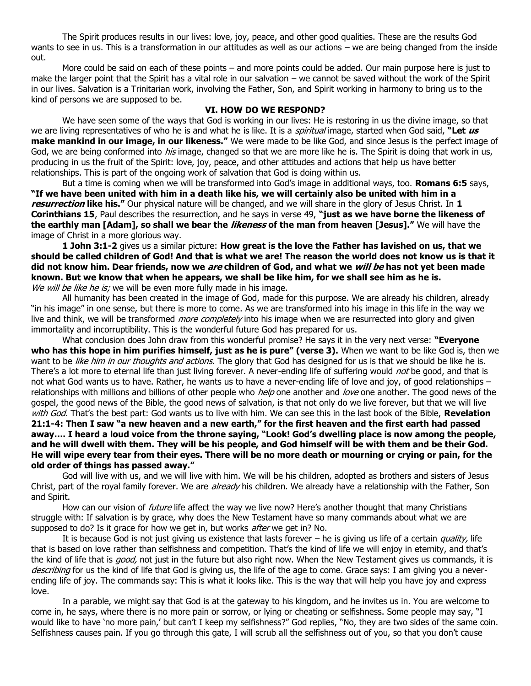The Spirit produces results in our lives: love, joy, peace, and other good qualities. These are the results God wants to see in us. This is a transformation in our attitudes as well as our actions – we are being changed from the inside out.

More could be said on each of these points – and more points could be added. Our main purpose here is just to make the larger point that the Spirit has a vital role in our salvation – we cannot be saved without the work of the Spirit in our lives. Salvation is a Trinitarian work, involving the Father, Son, and Spirit working in harmony to bring us to the kind of persons we are supposed to be.

# **VI. HOW DO WE RESPOND?**

We have seen some of the ways that God is working in our lives: He is restoring in us the divine image, so that we are living representatives of who he is and what he is like. It is a spiritual image, started when God said, **"Let us make mankind in our image, in our likeness."** We were made to be like God, and since Jesus is the perfect image of God, we are being conformed into *his* image, changed so that we are more like he is. The Spirit is doing that work in us, producing in us the fruit of the Spirit: love, joy, peace, and other attitudes and actions that help us have better relationships. This is part of the ongoing work of salvation that God is doing within us.

But a time is coming when we will be transformed into God's image in additional ways, too. **[Romans 6:5](https://biblia.com/bible/niv/Rom%206.5)** says, **"If we have been united with him in a death like his, we will certainly also be united with him in a resurrection like his."** Our physical nature will be changed, and we will share in the glory of Jesus Christ. In **1 Corinthians 15**, Paul describes the resurrection, and he says in verse 49, **"just as we have borne the likeness of the earthly man [Adam], so shall we bear the likeness of the man from heaven [Jesus]."** We will have the image of Christ in a more glorious way.

**[1 John 3:1-2](https://biblia.com/bible/niv/1%20John%203.1-2)** gives us a similar picture: **How great is the love the Father has lavished on us, that we should be called children of God! And that is what we are! The reason the world does not know us is that it did not know him. Dear friends, now we are children of God, and what we will be has not yet been made known. But we know that when he appears, we shall be like him, for we shall see him as he is.** We will be like he is; we will be even more fully made in his image.

All humanity has been created in the image of God, made for this purpose. We are already his children, already "in his image" in one sense, but there is more to come. As we are transformed into his image in this life in the way we live and think, we will be transformed *more completely* into his image when we are resurrected into glory and given immortality and incorruptibility. This is the wonderful future God has prepared for us.

What conclusion does John draw from this wonderful promise? He says it in the very next verse: **"Everyone who has this hope in him purifies himself, just as he is pure" (verse 3).** When we want to be like God is, then we want to be *like him in our thoughts and actions*. The glory that God has designed for us is that we should be like he is. There's a lot more to eternal life than just living forever. A never-ending life of suffering would *not* be good, and that is not what God wants us to have. Rather, he wants us to have a never-ending life of love and joy, of good relationships – relationships with millions and billions of other people who help one another and love one another. The good news of the gospel, the good news of the Bible, the good news of salvation, is that not only do we live forever, but that we will live with God. That's the best part: God wants us to live with him. We can see this in the last book of the Bible, **[Revelation](https://biblia.com/bible/niv/Rev%2021.1-4)  [21:1-4:](https://biblia.com/bible/niv/Rev%2021.1-4) Then I saw "a new heaven and a new earth," for the first heaven and the first earth had passed away…. I heard a loud voice from the throne saying, "Look! God's dwelling place is now among the people, and he will dwell with them. They will be his people, and God himself will be with them and be their God. He will wipe every tear from their eyes. There will be no more death or mourning or crying or pain, for the old order of things has passed away."**

God will live with us, and we will live with him. We will be his children, adopted as brothers and sisters of Jesus Christ, part of the royal family forever. We are *already* his children. We already have a relationship with the Father, Son and Spirit.

How can our vision of *future* life affect the way we live now? Here's another thought that many Christians struggle with: If salvation is by grace, why does the New Testament have so many commands about what we are supposed to do? Is it grace for how we get in, but works *after* we get in? No.

It is because God is not just giving us existence that lasts forever  $-$  he is giving us life of a certain quality, life that is based on love rather than selfishness and competition. That's the kind of life we will enjoy in eternity, and that's the kind of life that is good, not just in the future but also right now. When the New Testament gives us commands, it is describing for us the kind of life that God is giving us, the life of the age to come. Grace says: I am giving you a neverending life of joy. The commands say: This is what it looks like. This is the way that will help you have joy and express love.

In a parable, we might say that God is at the gateway to his kingdom, and he invites us in. You are welcome to come in, he says, where there is no more pain or sorrow, or lying or cheating or selfishness. Some people may say, "I would like to have 'no more pain,' but can't I keep my selfishness?" God replies, "No, they are two sides of the same coin. Selfishness causes pain. If you go through this gate, I will scrub all the selfishness out of you, so that you don't cause